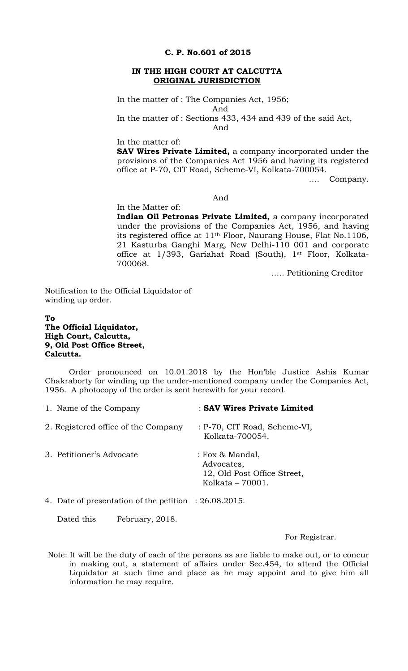## **C. P. No.601 of 2015**

### **IN THE HIGH COURT AT CALCUTTA ORIGINAL JURISDICTION**

In the matter of : The Companies Act, 1956;

And In the matter of : Sections 433, 434 and 439 of the said Act,

And

In the matter of:

**SAV Wires Private Limited,** a company incorporated under the provisions of the Companies Act 1956 and having its registered office at P-70, CIT Road, Scheme-VI, Kolkata-700054.

…. Company.

## And

In the Matter of: **Indian Oil Petronas Private Limited,** a company incorporated under the provisions of the Companies Act, 1956, and having its registered office at 11th Floor, Naurang House, Flat No.1106, 21 Kasturba Ganghi Marg, New Delhi-110 001 and corporate office at 1/393, Gariahat Road (South), 1<sup>st</sup> Floor, Kolkata-700068.

….. Petitioning Creditor

Notification to the Official Liquidator of winding up order.

# **To The Official Liquidator, High Court, Calcutta, 9, Old Post Office Street, Calcutta.**

Order pronounced on 10.01.2018 by the Hon'ble Justice Ashis Kumar Chakraborty for winding up the under-mentioned company under the Companies Act, 1956. A photocopy of the order is sent herewith for your record.

| 1. Name of the Company              | : SAV Wires Private Limited                                                      |
|-------------------------------------|----------------------------------------------------------------------------------|
| 2. Registered office of the Company | : P-70, CIT Road, Scheme-VI,<br>Kolkata-700054.                                  |
| 3. Petitioner's Advocate            | : Fox & Mandal,<br>Advocates,<br>12, Old Post Office Street,<br>Kolkata - 70001. |
|                                     |                                                                                  |

4. Date of presentation of the petition : 26.08.2015.

Dated this February, 2018.

For Registrar.

Note: It will be the duty of each of the persons as are liable to make out, or to concur in making out, a statement of affairs under Sec.454, to attend the Official Liquidator at such time and place as he may appoint and to give him all information he may require.